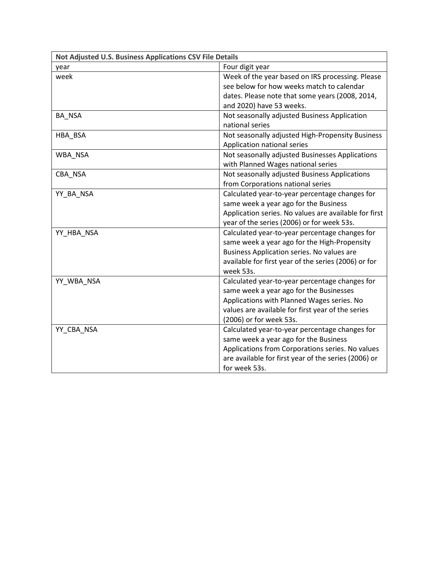| Not Adjusted U.S. Business Applications CSV File Details |                                                       |
|----------------------------------------------------------|-------------------------------------------------------|
| year                                                     | Four digit year                                       |
| week                                                     | Week of the year based on IRS processing. Please      |
|                                                          | see below for how weeks match to calendar             |
|                                                          | dates. Please note that some years (2008, 2014,       |
|                                                          | and 2020) have 53 weeks.                              |
| BA_NSA                                                   | Not seasonally adjusted Business Application          |
|                                                          | national series                                       |
| HBA BSA                                                  | Not seasonally adjusted High-Propensity Business      |
|                                                          | Application national series                           |
| WBA NSA                                                  | Not seasonally adjusted Businesses Applications       |
|                                                          | with Planned Wages national series                    |
| CBA_NSA                                                  | Not seasonally adjusted Business Applications         |
|                                                          | from Corporations national series                     |
| YY BA NSA                                                | Calculated year-to-year percentage changes for        |
|                                                          | same week a year ago for the Business                 |
|                                                          | Application series. No values are available for first |
|                                                          | year of the series (2006) or for week 53s.            |
| YY_HBA_NSA                                               | Calculated year-to-year percentage changes for        |
|                                                          | same week a year ago for the High-Propensity          |
|                                                          | Business Application series. No values are            |
|                                                          | available for first year of the series (2006) or for  |
|                                                          | week 53s.                                             |
| YY_WBA_NSA                                               | Calculated year-to-year percentage changes for        |
|                                                          | same week a year ago for the Businesses               |
|                                                          | Applications with Planned Wages series. No            |
|                                                          | values are available for first year of the series     |
|                                                          | (2006) or for week 53s.                               |
| YY CBA NSA                                               | Calculated year-to-year percentage changes for        |
|                                                          | same week a year ago for the Business                 |
|                                                          | Applications from Corporations series. No values      |
|                                                          | are available for first year of the series (2006) or  |
|                                                          | for week 53s.                                         |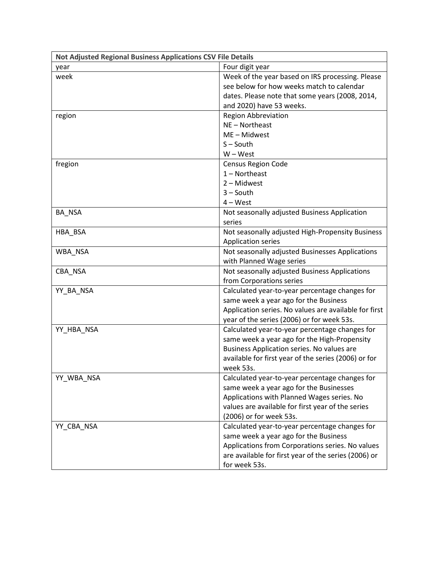| Not Adjusted Regional Business Applications CSV File Details |                                                       |
|--------------------------------------------------------------|-------------------------------------------------------|
| year                                                         | Four digit year                                       |
| week                                                         | Week of the year based on IRS processing. Please      |
|                                                              | see below for how weeks match to calendar             |
|                                                              | dates. Please note that some years (2008, 2014,       |
|                                                              | and 2020) have 53 weeks.                              |
| region                                                       | <b>Region Abbreviation</b>                            |
|                                                              | NE - Northeast                                        |
|                                                              | ME-Midwest                                            |
|                                                              | $S - South$                                           |
|                                                              | $W - West$                                            |
| fregion                                                      | <b>Census Region Code</b>                             |
|                                                              | $1 -$ Northeast                                       |
|                                                              | 2 - Midwest                                           |
|                                                              | $3 -$ South                                           |
|                                                              | $4 - West$                                            |
| BA NSA                                                       | Not seasonally adjusted Business Application          |
|                                                              | series                                                |
| HBA_BSA                                                      | Not seasonally adjusted High-Propensity Business      |
|                                                              | <b>Application series</b>                             |
| WBA_NSA                                                      | Not seasonally adjusted Businesses Applications       |
|                                                              | with Planned Wage series                              |
| CBA NSA                                                      | Not seasonally adjusted Business Applications         |
|                                                              | from Corporations series                              |
| YY_BA_NSA                                                    | Calculated year-to-year percentage changes for        |
|                                                              | same week a year ago for the Business                 |
|                                                              | Application series. No values are available for first |
|                                                              | year of the series (2006) or for week 53s.            |
| YY_HBA_NSA                                                   | Calculated year-to-year percentage changes for        |
|                                                              | same week a year ago for the High-Propensity          |
|                                                              | Business Application series. No values are            |
|                                                              | available for first year of the series (2006) or for  |
|                                                              | week 53s.                                             |
| YY_WBA_NSA                                                   | Calculated year-to-year percentage changes for        |
|                                                              | same week a year ago for the Businesses               |
|                                                              | Applications with Planned Wages series. No            |
|                                                              | values are available for first year of the series     |
|                                                              | (2006) or for week 53s.                               |
| YY CBA NSA                                                   | Calculated year-to-year percentage changes for        |
|                                                              | same week a year ago for the Business                 |
|                                                              | Applications from Corporations series. No values      |
|                                                              | are available for first year of the series (2006) or  |
|                                                              | for week 53s.                                         |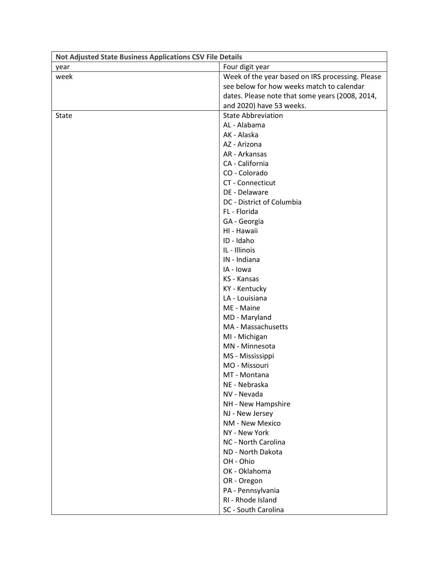| Not Adjusted State Business Applications CSV File Details |                                                  |
|-----------------------------------------------------------|--------------------------------------------------|
| year                                                      | Four digit year                                  |
| week                                                      | Week of the year based on IRS processing. Please |
|                                                           | see below for how weeks match to calendar        |
|                                                           | dates. Please note that some years (2008, 2014,  |
|                                                           | and 2020) have 53 weeks.                         |
| State                                                     | <b>State Abbreviation</b>                        |
|                                                           | AL - Alabama                                     |
|                                                           | AK - Alaska                                      |
|                                                           | AZ - Arizona                                     |
|                                                           | AR - Arkansas                                    |
|                                                           | CA - California                                  |
|                                                           | CO - Colorado                                    |
|                                                           | CT - Connecticut                                 |
|                                                           | DE - Delaware                                    |
|                                                           | DC - District of Columbia                        |
|                                                           | FL - Florida                                     |
|                                                           | GA - Georgia                                     |
|                                                           | HI - Hawaii                                      |
|                                                           | ID - Idaho                                       |
|                                                           | IL - Illinois                                    |
|                                                           | IN - Indiana                                     |
|                                                           | IA - Iowa                                        |
|                                                           | KS - Kansas                                      |
|                                                           | KY - Kentucky                                    |
|                                                           | LA - Louisiana                                   |
|                                                           | ME - Maine                                       |
|                                                           | MD - Maryland                                    |
|                                                           | MA - Massachusetts                               |
|                                                           | MI - Michigan                                    |
|                                                           | MN - Minnesota                                   |
|                                                           | MS - Mississippi                                 |
|                                                           | MO - Missouri                                    |
|                                                           | MT - Montana                                     |
|                                                           | NE - Nebraska                                    |
|                                                           | NV - Nevada                                      |
|                                                           | NH - New Hampshire                               |
|                                                           | NJ - New Jersey                                  |
|                                                           | NM - New Mexico                                  |
|                                                           | NY - New York                                    |
|                                                           | NC - North Carolina                              |
|                                                           | ND - North Dakota                                |
|                                                           | OH - Ohio                                        |
|                                                           | OK - Oklahoma                                    |
|                                                           | OR - Oregon                                      |
|                                                           | PA - Pennsylvania                                |
|                                                           | RI - Rhode Island                                |
|                                                           | SC - South Carolina                              |